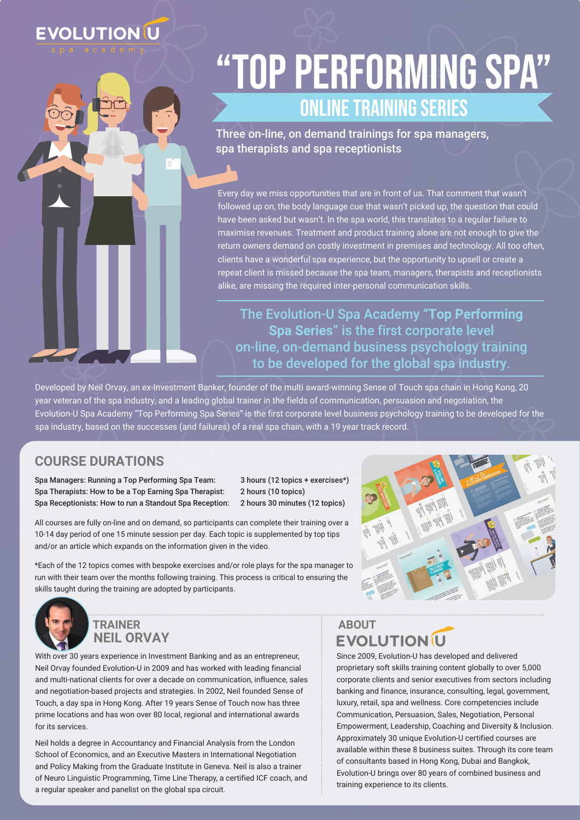## **EVOLUTION U**

# "Top Performing Spa" Online Training Series

Three on-line, on demand trainings for spa managers, spa therapists and spa receptionists

Every day we miss opportunities that are in front of us. That comment that wasn't followed up on, the body language cue that wasn't picked up, the question that could have been asked but wasn't. In the spa world, this translates to a regular failure to maximise revenues. Treatment and product training alone are not enough to give the return owners demand on costly investment in premises and technology. All too often, clients have a wonderful spa experience, but the opportunity to upsell or create a repeat client is missed because the spa team, managers, therapists and receptionists alike, are missing the required inter-personal communication skills.

The Evolution-U Spa Academy **"Top Performing Spa Series"** is the first corporate level on-line, on-demand business psychology training to be developed for the global spa industry.

Developed by Neil Orvay, an ex-Investment Banker, founder of the multi award-winning Sense of Touch spa chain in Hong Kong, 20 year veteran of the spa industry, and a leading global trainer in the fields of communication, persuasion and negotiation, the Evolution-U Spa Academy "Top Performing Spa Series" is the first corporate level business psychology training to be developed for the spa industry, based on the successes (and failures) of a real spa chain, with a 19 year track record.

### **COURSE DURATIONS**

Spa Managers: Running a Top Performing Spa Team: 3 hours (12 topics + exercises\*) Spa Therapists: How to be a Top Earning Spa Therapist: 2 hours (10 topics) Spa Receptionists: How to run a Standout Spa Reception: 2 hours 30 minutes (12 topics)

All courses are fully on-line and on demand, so participants can complete their training over a 10-14 day period of one 15 minute session per day. Each topic is supplemented by top tips and/or an article which expands on the information given in the video.

\*Each of the 12 topics comes with bespoke exercises and/or role plays for the spa manager to run with their team over the months following training. This process is critical to ensuring the skills taught during the training are adopted by participants.





**NEIL ORVAY TRAINER**

With over 30 years experience in Investment Banking and as an entrepreneur, Neil Orvay founded Evolution-U in 2009 and has worked with leading financial and multi-national clients for over a decade on communication, influence, sales and negotiation-based projects and strategies. In 2002, Neil founded Sense of Touch, a day spa in Hong Kong. After 19 years Sense of Touch now has three prime locations and has won over 80 local, regional and international awards for its services.

Neil holds a degree in Accountancy and Financial Analysis from the London School of Economics, and an Executive Masters in International Negotiation and Policy Making from the Graduate Institute in Geneva. Neil is also a trainer of Neuro Linguistic Programming, Time Line Therapy, a certified ICF coach, and a regular speaker and panelist on the global spa circuit.

### **ABOUTEVOLUTION U**

Since 2009, Evolution-U has developed and delivered proprietary soft skills training content globally to over 5,000 corporate clients and senior executives from sectors including banking and finance, insurance, consulting, legal, government, luxury, retail, spa and wellness. Core competencies include Communication, Persuasion, Sales, Negotiation, Personal Empowerment, Leadership, Coaching and Diversity & Inclusion. Approximately 30 unique Evolution-U certified courses are available within these 8 business suites. Through its core team of consultants based in Hong Kong, Dubai and Bangkok, Evolution-U brings over 80 years of combined business and training experience to its clients.